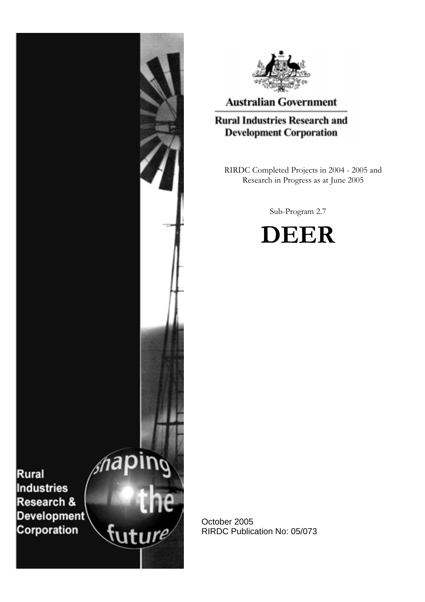



# **Australian Government**

# **Rural Industries Research and Development Corporation**

RIRDC Completed Projects in 2004 - 2005 and Research in Progress as at June 2005

Sub-Program 2.7



October 2005 RIRDC Publication No: 05/073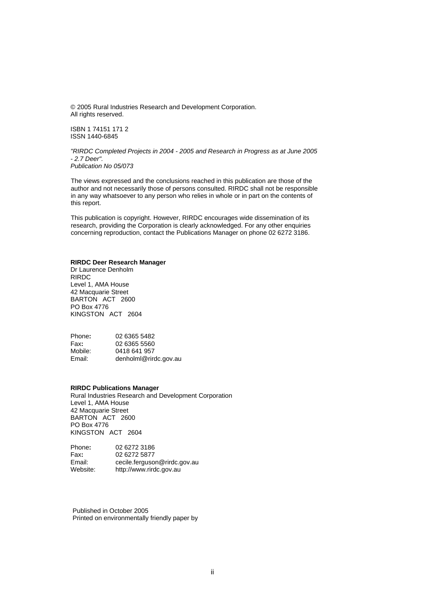© 2005 Rural Industries Research and Development Corporation. All rights reserved.

ISBN 1 74151 171 2 ISSN 1440-6845

*"RIRDC Completed Projects in 2004 - 2005 and Research in Progress as at June 2005 - 2.7 Deer". Publication No 05/073* 

The views expressed and the conclusions reached in this publication are those of the author and not necessarily those of persons consulted. RIRDC shall not be responsible in any way whatsoever to any person who relies in whole or in part on the contents of this report.

This publication is copyright. However, RIRDC encourages wide dissemination of its research, providing the Corporation is clearly acknowledged. For any other enquiries concerning reproduction, contact the Publications Manager on phone 02 6272 3186.

#### **RIRDC Deer Research Manager**

Dr Laurence Denholm RIRDC Level 1, AMA House 42 Macquarie Street BARTON ACT 2600 PO Box 4776 KINGSTON ACT 2604

| Phone:  | 02 6365 5482          |
|---------|-----------------------|
| Fax:    | 02 6365 5560          |
| Mobile: | 0418 641 957          |
| Email:  | denholml@rirdc.gov.au |

#### **RIRDC Publications Manager**

Rural Industries Research and Development Corporation Level 1, AMA House 42 Macquarie Street BARTON ACT 2600 PO Box 4776 KINGSTON ACT 2604

| Phone:   | 02 6272 3186                 |
|----------|------------------------------|
| Fax:     | 02 6272 5877                 |
| Email:   | cecile.ferguson@rirdc.gov.au |
| Website: | http://www.rirdc.gov.au      |

Published in October 2005 Printed on environmentally friendly paper by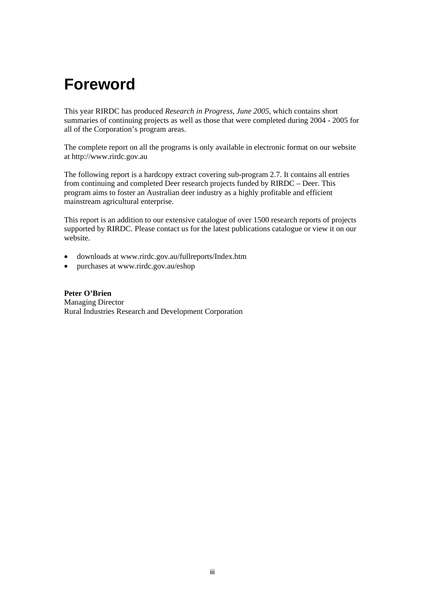# **Foreword**

This year RIRDC has produced *Research in Progress, June 2005*, which contains short summaries of continuing projects as well as those that were completed during 2004 - 2005 for all of the Corporation's program areas.

The complete report on all the programs is only available in electronic format on our website at http://www.rirdc.gov.au

The following report is a hardcopy extract covering sub-program 2.7. It contains all entries from continuing and completed Deer research projects funded by RIRDC – Deer. This program aims to foster an Australian deer industry as a highly profitable and efficient mainstream agricultural enterprise.

This report is an addition to our extensive catalogue of over 1500 research reports of projects supported by RIRDC. Please contact us for the latest publications catalogue or view it on our website.

- downloads at [www.rirdc.gov.au/fullreports/Index.htm](http://www.rirdc.gov.au/reports/Index.htm)
- purchases at www.rirdc.gov.au/eshop

**Peter O'Brien**  Managing Director Rural Industries Research and Development Corporation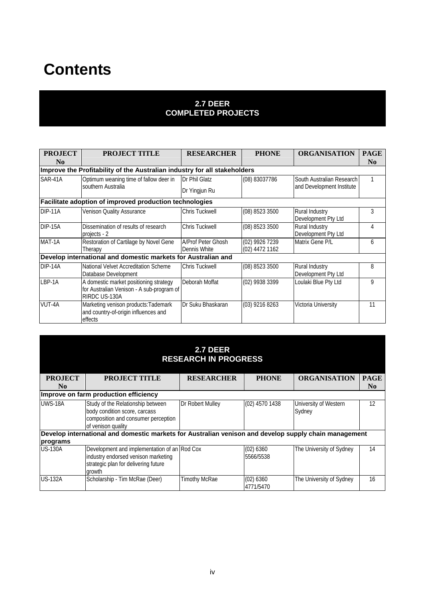# **Contents**

#### **2.7 DEER COMPLETED PROJECTS**

| <b>PROJECT</b><br>N <sub>0</sub> | <b>PROJECT TITLE</b>                                                                                 | <b>RESEARCHER</b>                  | <b>PHONE</b>                     | <b>ORGANISATION</b>                   | <b>PAGE</b><br>N <sub>0</sub> |
|----------------------------------|------------------------------------------------------------------------------------------------------|------------------------------------|----------------------------------|---------------------------------------|-------------------------------|
|                                  | Improve the Profitability of the Australian industry for all stakeholders                            |                                    |                                  |                                       |                               |
| SAR-41A                          | Optimum weaning time of fallow deer in                                                               | Dr Phil Glatz                      | (08) 83037786                    | South Australian Research             |                               |
|                                  | southern Australia                                                                                   | Dr Yingjun Ru                      |                                  | and Development Institute             |                               |
|                                  | Facilitate adoption of improved production technologies                                              |                                    |                                  |                                       |                               |
| DIP-11A                          | Venison Quality Assurance                                                                            | Chris Tuckwell                     | (08) 8523 3500                   | Rural Industry<br>Development Pty Ltd | 3                             |
| DIP-15A                          | Dissemination of results of research<br>projects - 2                                                 | Chris Tuckwell                     | (08) 8523 3500                   | Rural Industry<br>Development Pty Ltd | 4                             |
| MAT-1A                           | Restoration of Cartilage by Novel Gene<br>Therapy                                                    | A/Prof Peter Ghosh<br>Dennis White | (02) 9926 7239<br>(02) 4472 1162 | Matrix Gene P/L                       | 6                             |
|                                  | Develop international and domestic markets for Australian and                                        |                                    |                                  |                                       |                               |
| DIP-14A                          | National Velvet Accreditation Scheme<br>Database Development                                         | <b>Chris Tuckwell</b>              | (08) 8523 3500                   | Rural Industry<br>Development Pty Ltd | 8                             |
| LBP-1A                           | A domestic market positioning strategy<br>for Australian Venison - A sub-program of<br>RIRDC US-130A | Deborah Moffat                     | (02) 9938 3399                   | Loulaki Blue Pty Ltd                  | 9                             |
| VUT-4A                           | Marketing venison products: Tademark<br>and country-of-origin influences and<br>effects              | Dr Suku Bhaskaran                  | (03) 9216 8263                   | Victoria University                   | 11                            |

| 2.7 DEER<br><b>RESEARCH IN PROGRESS</b>                                                               |                                                                                                                                       |                   |                        |                                 |                |
|-------------------------------------------------------------------------------------------------------|---------------------------------------------------------------------------------------------------------------------------------------|-------------------|------------------------|---------------------------------|----------------|
| <b>PROJECT</b>                                                                                        | <b>PROJECT TITLE</b>                                                                                                                  | <b>RESEARCHER</b> | <b>PHONE</b>           | <b>ORGANISATION</b>             | <b>PAGE</b>    |
| N <sub>0</sub>                                                                                        |                                                                                                                                       |                   |                        |                                 | N <sub>0</sub> |
|                                                                                                       | Improve on farm production efficiency                                                                                                 |                   |                        |                                 |                |
| UWS-18A                                                                                               | Study of the Relationship between<br>body condition score, carcass<br>composition and consumer perception<br>of venison quality       | Dr Robert Mulley  | (02) 4570 1438         | University of Western<br>Sydney | 12             |
| Develop international and domestic markets for Australian venison and develop supply chain management |                                                                                                                                       |                   |                        |                                 |                |
| programs                                                                                              |                                                                                                                                       |                   |                        |                                 |                |
| <b>US-130A</b>                                                                                        | Development and implementation of an Rod Cox<br>industry endorsed venison marketing<br>strategic plan for delivering future<br>growth |                   | (02) 6360<br>5566/5538 | The University of Sydney        | 14             |
| <b>US-132A</b>                                                                                        | Scholarship - Tim McRae (Deer)                                                                                                        | Timothy McRae     | (02) 6360<br>4771/5470 | The University of Sydney        | 16             |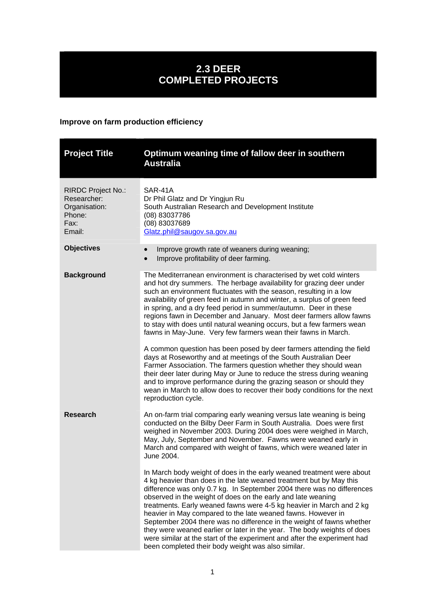# **2.3 DEER COMPLETED PROJECTS**

## **Improve on farm production efficiency**

<span id="page-4-0"></span>

| <b>Project Title</b>                                                                  | Optimum weaning time of fallow deer in southern<br><b>Australia</b>                                                                                                                                                                                                                                                                                                                                                                                                                                                                                                                                                                                                                                                                                                                                                                                                                                                                                                                                                                                       |
|---------------------------------------------------------------------------------------|-----------------------------------------------------------------------------------------------------------------------------------------------------------------------------------------------------------------------------------------------------------------------------------------------------------------------------------------------------------------------------------------------------------------------------------------------------------------------------------------------------------------------------------------------------------------------------------------------------------------------------------------------------------------------------------------------------------------------------------------------------------------------------------------------------------------------------------------------------------------------------------------------------------------------------------------------------------------------------------------------------------------------------------------------------------|
| <b>RIRDC Project No.:</b><br>Researcher:<br>Organisation:<br>Phone:<br>Fax:<br>Email: | SAR-41A<br>Dr Phil Glatz and Dr Yingjun Ru<br>South Australian Research and Development Institute<br>(08) 83037786<br>(08) 83037689<br>Glatz.phil@saugov.sa.gov.au                                                                                                                                                                                                                                                                                                                                                                                                                                                                                                                                                                                                                                                                                                                                                                                                                                                                                        |
| <b>Objectives</b>                                                                     | Improve growth rate of weaners during weaning;<br>$\bullet$<br>Improve profitability of deer farming.<br>$\bullet$                                                                                                                                                                                                                                                                                                                                                                                                                                                                                                                                                                                                                                                                                                                                                                                                                                                                                                                                        |
| <b>Background</b>                                                                     | The Mediterranean environment is characterised by wet cold winters<br>and hot dry summers. The herbage availability for grazing deer under<br>such an environment fluctuates with the season, resulting in a low<br>availability of green feed in autumn and winter, a surplus of green feed<br>in spring, and a dry feed period in summer/autumn. Deer in these<br>regions fawn in December and January. Most deer farmers allow fawns<br>to stay with does until natural weaning occurs, but a few farmers wean<br>fawns in May-June. Very few farmers wean their fawns in March.<br>A common question has been posed by deer farmers attending the field<br>days at Roseworthy and at meetings of the South Australian Deer<br>Farmer Association. The farmers question whether they should wean<br>their deer later during May or June to reduce the stress during weaning<br>and to improve performance during the grazing season or should they<br>wean in March to allow does to recover their body conditions for the next<br>reproduction cycle. |
| <b>Research</b>                                                                       | An on-farm trial comparing early weaning versus late weaning is being<br>conducted on the Bilby Deer Farm in South Australia. Does were first<br>weighed in November 2003. During 2004 does were weighed in March,<br>May, July, September and November. Fawns were weaned early in<br>March and compared with weight of fawns, which were weaned later in<br>June 2004.<br>In March body weight of does in the early weaned treatment were about                                                                                                                                                                                                                                                                                                                                                                                                                                                                                                                                                                                                         |
|                                                                                       | 4 kg heavier than does in the late weaned treatment but by May this<br>difference was only 0.7 kg. In September 2004 there was no differences<br>observed in the weight of does on the early and late weaning<br>treatments. Early weaned fawns were 4-5 kg heavier in March and 2 kg<br>heavier in May compared to the late weaned fawns. However in<br>September 2004 there was no difference in the weight of fawns whether<br>they were weaned earlier or later in the year. The body weights of does<br>were similar at the start of the experiment and after the experiment had<br>been completed their body weight was also similar.                                                                                                                                                                                                                                                                                                                                                                                                               |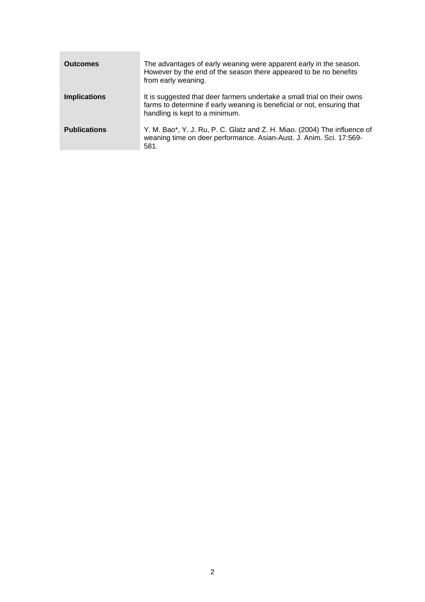| <b>Outcomes</b>     | The advantages of early weaning were apparent early in the season.<br>However by the end of the season there appeared to be no benefits<br>from early weaning.                       |
|---------------------|--------------------------------------------------------------------------------------------------------------------------------------------------------------------------------------|
| <b>Implications</b> | It is suggested that deer farmers undertake a small trial on their owns<br>farms to determine if early weaning is beneficial or not, ensuring that<br>handling is kept to a minimum. |
| <b>Publications</b> | Y. M. Bao*, Y. J. Ru, P. C. Glatz and Z. H. Miao. (2004) The influence of<br>weaning time on deer performance. Asian-Aust. J. Anim. Sci. 17:569-<br>581.                             |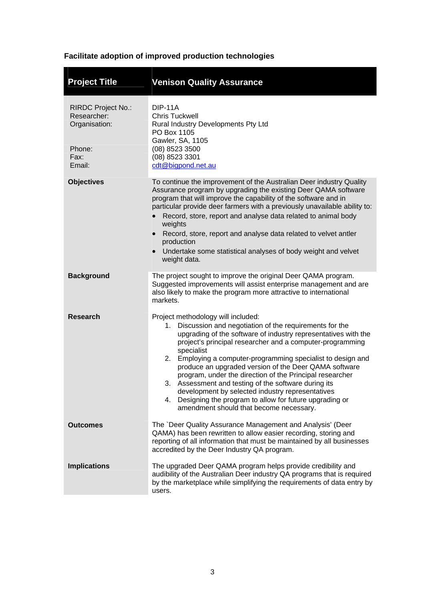## **Facilitate adoption of improved production technologies**

<span id="page-6-0"></span>

| <b>Project Title</b>                                                                  | <b>Venison Quality Assurance</b>                                                                                                                                                                                                                                                                                                                                                                                                                                                                                                                                                                                                                      |
|---------------------------------------------------------------------------------------|-------------------------------------------------------------------------------------------------------------------------------------------------------------------------------------------------------------------------------------------------------------------------------------------------------------------------------------------------------------------------------------------------------------------------------------------------------------------------------------------------------------------------------------------------------------------------------------------------------------------------------------------------------|
| <b>RIRDC Project No.:</b><br>Researcher:<br>Organisation:<br>Phone:<br>Fax:<br>Email: | <b>DIP-11A</b><br><b>Chris Tuckwell</b><br>Rural Industry Developments Pty Ltd<br>PO Box 1105<br>Gawler, SA, 1105<br>(08) 8523 3500<br>(08) 8523 3301<br>cdt@bigpond.net.au                                                                                                                                                                                                                                                                                                                                                                                                                                                                           |
| <b>Objectives</b>                                                                     | To continue the improvement of the Australian Deer industry Quality<br>Assurance program by upgrading the existing Deer QAMA software<br>program that will improve the capability of the software and in<br>particular provide deer farmers with a previously unavailable ability to:<br>Record, store, report and analyse data related to animal body<br>weights<br>Record, store, report and analyse data related to velvet antler<br>$\bullet$<br>production<br>Undertake some statistical analyses of body weight and velvet<br>$\bullet$<br>weight data.                                                                                         |
| <b>Background</b>                                                                     | The project sought to improve the original Deer QAMA program.<br>Suggested improvements will assist enterprise management and are<br>also likely to make the program more attractive to international<br>markets.                                                                                                                                                                                                                                                                                                                                                                                                                                     |
| <b>Research</b>                                                                       | Project methodology will included:<br>1. Discussion and negotiation of the requirements for the<br>upgrading of the software of industry representatives with the<br>project's principal researcher and a computer-programming<br>specialist<br>2. Employing a computer-programming specialist to design and<br>produce an upgraded version of the Deer QAMA software<br>program, under the direction of the Principal researcher<br>3. Assessment and testing of the software during its<br>development by selected industry representatives<br>4. Designing the program to allow for future upgrading or<br>amendment should that become necessary. |
| <b>Outcomes</b>                                                                       | The `Deer Quality Assurance Management and Analysis' (Deer<br>QAMA) has been rewritten to allow easier recording, storing and<br>reporting of all information that must be maintained by all businesses<br>accredited by the Deer Industry QA program.                                                                                                                                                                                                                                                                                                                                                                                                |
| <b>Implications</b>                                                                   | The upgraded Deer QAMA program helps provide credibility and<br>audibility of the Australian Deer industry QA programs that is required<br>by the marketplace while simplifying the requirements of data entry by<br>users.                                                                                                                                                                                                                                                                                                                                                                                                                           |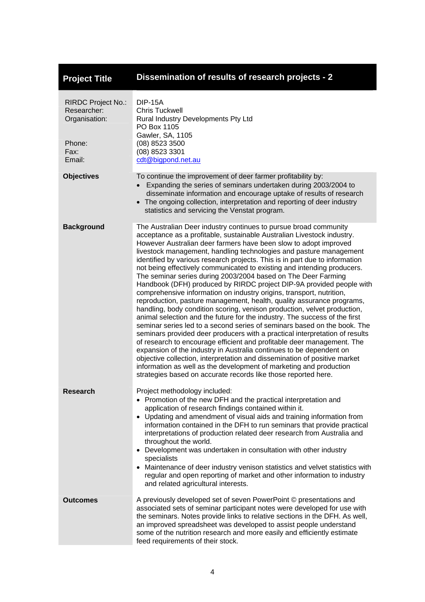<span id="page-7-0"></span>

| <b>Project Title</b>                                                                  | Dissemination of results of research projects - 2                                                                                                                                                                                                                                                                                                                                                                                                                                                                                                                                                                                                                                                                                                                                                                                                                                                                                                                                                                                                                                                                                                                                                                                                                                                                                                                                                                                   |
|---------------------------------------------------------------------------------------|-------------------------------------------------------------------------------------------------------------------------------------------------------------------------------------------------------------------------------------------------------------------------------------------------------------------------------------------------------------------------------------------------------------------------------------------------------------------------------------------------------------------------------------------------------------------------------------------------------------------------------------------------------------------------------------------------------------------------------------------------------------------------------------------------------------------------------------------------------------------------------------------------------------------------------------------------------------------------------------------------------------------------------------------------------------------------------------------------------------------------------------------------------------------------------------------------------------------------------------------------------------------------------------------------------------------------------------------------------------------------------------------------------------------------------------|
| <b>RIRDC Project No.:</b><br>Researcher:<br>Organisation:<br>Phone:<br>Fax:<br>Email: | <b>DIP-15A</b><br><b>Chris Tuckwell</b><br>Rural Industry Developments Pty Ltd<br>PO Box 1105<br>Gawler, SA, 1105<br>(08) 8523 3500<br>(08) 8523 3301<br>cdt@bigpond.net.au                                                                                                                                                                                                                                                                                                                                                                                                                                                                                                                                                                                                                                                                                                                                                                                                                                                                                                                                                                                                                                                                                                                                                                                                                                                         |
| <b>Objectives</b>                                                                     | To continue the improvement of deer farmer profitability by:<br>• Expanding the series of seminars undertaken during 2003/2004 to<br>disseminate information and encourage uptake of results of research<br>• The ongoing collection, interpretation and reporting of deer industry<br>statistics and servicing the Venstat program.                                                                                                                                                                                                                                                                                                                                                                                                                                                                                                                                                                                                                                                                                                                                                                                                                                                                                                                                                                                                                                                                                                |
| <b>Background</b>                                                                     | The Australian Deer industry continues to pursue broad community<br>acceptance as a profitable, sustainable Australian Livestock industry.<br>However Australian deer farmers have been slow to adopt improved<br>livestock management, handling technologies and pasture management<br>identified by various research projects. This is in part due to information<br>not being effectively communicated to existing and intending producers.<br>The seminar series during 2003/2004 based on The Deer Farming<br>Handbook (DFH) produced by RIRDC project DIP-9A provided people with<br>comprehensive information on industry origins, transport, nutrition,<br>reproduction, pasture management, health, quality assurance programs,<br>handling, body condition scoring, venison production, velvet production,<br>animal selection and the future for the industry. The success of the first<br>seminar series led to a second series of seminars based on the book. The<br>seminars provided deer producers with a practical interpretation of results<br>of research to encourage efficient and profitable deer management. The<br>expansion of the industry in Australia continues to be dependent on<br>objective collection, interpretation and dissemination of positive market<br>information as well as the development of marketing and production<br>strategies based on accurate records like those reported here. |
| Research                                                                              | Project methodology included:<br>• Promotion of the new DFH and the practical interpretation and<br>application of research findings contained within it.<br>• Updating and amendment of visual aids and training information from<br>information contained in the DFH to run seminars that provide practical<br>interpretations of production related deer research from Australia and<br>throughout the world.<br>Development was undertaken in consultation with other industry<br>specialists<br>• Maintenance of deer industry venison statistics and velvet statistics with<br>regular and open reporting of market and other information to industry<br>and related agricultural interests.                                                                                                                                                                                                                                                                                                                                                                                                                                                                                                                                                                                                                                                                                                                                  |
| <b>Outcomes</b>                                                                       | A previously developed set of seven PowerPoint © presentations and<br>associated sets of seminar participant notes were developed for use with<br>the seminars. Notes provide links to relative sections in the DFH. As well,<br>an improved spreadsheet was developed to assist people understand<br>some of the nutrition research and more easily and efficiently estimate<br>feed requirements of their stock.                                                                                                                                                                                                                                                                                                                                                                                                                                                                                                                                                                                                                                                                                                                                                                                                                                                                                                                                                                                                                  |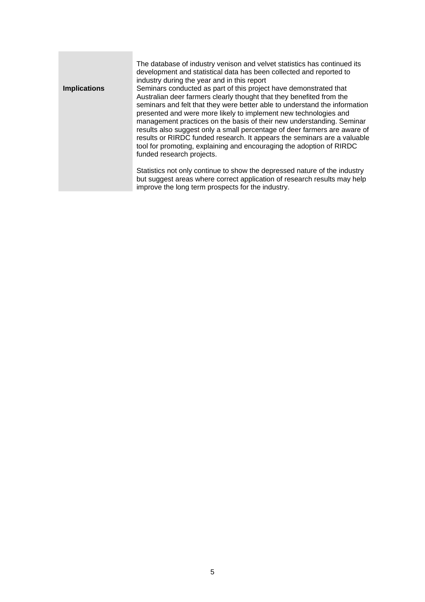|                     | The database of industry venison and velvet statistics has continued its<br>development and statistical data has been collected and reported to<br>industry during the year and in this report                                                                                                                                                                                                                                                                                                                                                                                                                                                                                                                  |
|---------------------|-----------------------------------------------------------------------------------------------------------------------------------------------------------------------------------------------------------------------------------------------------------------------------------------------------------------------------------------------------------------------------------------------------------------------------------------------------------------------------------------------------------------------------------------------------------------------------------------------------------------------------------------------------------------------------------------------------------------|
| <b>Implications</b> | Seminars conducted as part of this project have demonstrated that<br>Australian deer farmers clearly thought that they benefited from the<br>seminars and felt that they were better able to understand the information<br>presented and were more likely to implement new technologies and<br>management practices on the basis of their new understanding. Seminar<br>results also suggest only a small percentage of deer farmers are aware of<br>results or RIRDC funded research. It appears the seminars are a valuable<br>tool for promoting, explaining and encouraging the adoption of RIRDC<br>funded research projects.<br>Statistics not only continue to show the depressed nature of the industry |
|                     | but suggest areas where correct application of research results may help<br>improve the long term prospects for the industry.                                                                                                                                                                                                                                                                                                                                                                                                                                                                                                                                                                                   |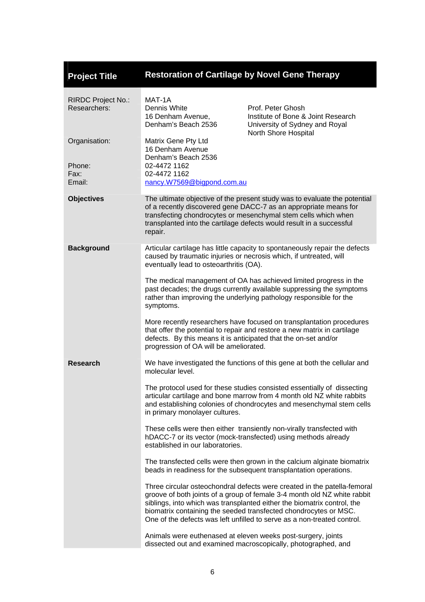<span id="page-9-0"></span>

| <b>Project Title</b>                      | <b>Restoration of Cartilage by Novel Gene Therapy</b>                                                                                                                                                                        |                                                                                                                                                                                                                                                                                                                                                                                |  |
|-------------------------------------------|------------------------------------------------------------------------------------------------------------------------------------------------------------------------------------------------------------------------------|--------------------------------------------------------------------------------------------------------------------------------------------------------------------------------------------------------------------------------------------------------------------------------------------------------------------------------------------------------------------------------|--|
| <b>RIRDC Project No.:</b><br>Researchers: | MAT-1A<br>Dennis White<br>16 Denham Avenue,<br>Denham's Beach 2536                                                                                                                                                           | Prof. Peter Ghosh<br>Institute of Bone & Joint Research<br>University of Sydney and Royal<br>North Shore Hospital                                                                                                                                                                                                                                                              |  |
| Organisation:<br>Phone:<br>Fax:<br>Email: | Matrix Gene Pty Ltd<br>16 Denham Avenue<br>Denham's Beach 2536<br>02-4472 1162<br>02-4472 1162<br>nancy.W7569@bigpond.com.au                                                                                                 |                                                                                                                                                                                                                                                                                                                                                                                |  |
| <b>Objectives</b>                         | repair.                                                                                                                                                                                                                      | The ultimate objective of the present study was to evaluate the potential<br>of a recently discovered gene DACC-7 as an appropriate means for<br>transfecting chondrocytes or mesenchymal stem cells which when<br>transplanted into the cartilage defects would result in a successful                                                                                        |  |
| <b>Background</b>                         | Articular cartilage has little capacity to spontaneously repair the defects<br>caused by traumatic injuries or necrosis which, if untreated, will<br>eventually lead to osteoarthritis (OA).                                 |                                                                                                                                                                                                                                                                                                                                                                                |  |
|                                           | The medical management of OA has achieved limited progress in the<br>past decades; the drugs currently available suppressing the symptoms<br>rather than improving the underlying pathology responsible for the<br>symptoms. |                                                                                                                                                                                                                                                                                                                                                                                |  |
|                                           | defects. By this means it is anticipated that the on-set and/or<br>progression of OA will be ameliorated.                                                                                                                    | More recently researchers have focused on transplantation procedures<br>that offer the potential to repair and restore a new matrix in cartilage                                                                                                                                                                                                                               |  |
| Research                                  | molecular level.                                                                                                                                                                                                             | We have investigated the functions of this gene at both the cellular and                                                                                                                                                                                                                                                                                                       |  |
|                                           | in primary monolayer cultures.                                                                                                                                                                                               | The protocol used for these studies consisted essentially of dissecting<br>articular cartilage and bone marrow from 4 month old NZ white rabbits<br>and establishing colonies of chondrocytes and mesenchymal stem cells                                                                                                                                                       |  |
|                                           | These cells were then either transiently non-virally transfected with<br>hDACC-7 or its vector (mock-transfected) using methods already<br>established in our laboratories.                                                  |                                                                                                                                                                                                                                                                                                                                                                                |  |
|                                           | The transfected cells were then grown in the calcium alginate biomatrix<br>beads in readiness for the subsequent transplantation operations.                                                                                 |                                                                                                                                                                                                                                                                                                                                                                                |  |
|                                           |                                                                                                                                                                                                                              | Three circular osteochondral defects were created in the patella-femoral<br>groove of both joints of a group of female 3-4 month old NZ white rabbit<br>siblings, into which was transplanted either the biomatrix control, the<br>biomatrix containing the seeded transfected chondrocytes or MSC.<br>One of the defects was left unfilled to serve as a non-treated control. |  |
|                                           |                                                                                                                                                                                                                              | Animals were euthenased at eleven weeks post-surgery, joints<br>dissected out and examined macroscopically, photographed, and                                                                                                                                                                                                                                                  |  |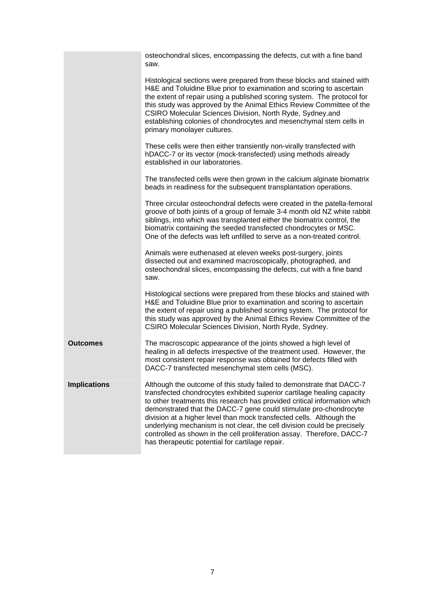|                     | osteochondral slices, encompassing the defects, cut with a fine band<br>saw.                                                                                                                                                                                                                                                                                                                                                                                                                                                                                                     |
|---------------------|----------------------------------------------------------------------------------------------------------------------------------------------------------------------------------------------------------------------------------------------------------------------------------------------------------------------------------------------------------------------------------------------------------------------------------------------------------------------------------------------------------------------------------------------------------------------------------|
|                     | Histological sections were prepared from these blocks and stained with<br>H&E and Toluidine Blue prior to examination and scoring to ascertain<br>the extent of repair using a published scoring system. The protocol for<br>this study was approved by the Animal Ethics Review Committee of the<br>CSIRO Molecular Sciences Division, North Ryde, Sydney.and<br>establishing colonies of chondrocytes and mesenchymal stem cells in<br>primary monolayer cultures.                                                                                                             |
|                     | These cells were then either transiently non-virally transfected with<br>hDACC-7 or its vector (mock-transfected) using methods already<br>established in our laboratories.                                                                                                                                                                                                                                                                                                                                                                                                      |
|                     | The transfected cells were then grown in the calcium alginate biomatrix<br>beads in readiness for the subsequent transplantation operations.                                                                                                                                                                                                                                                                                                                                                                                                                                     |
|                     | Three circular osteochondral defects were created in the patella-femoral<br>groove of both joints of a group of female 3-4 month old NZ white rabbit<br>siblings, into which was transplanted either the biomatrix control, the<br>biomatrix containing the seeded transfected chondrocytes or MSC.<br>One of the defects was left unfilled to serve as a non-treated control.                                                                                                                                                                                                   |
|                     | Animals were euthenased at eleven weeks post-surgery, joints<br>dissected out and examined macroscopically, photographed, and<br>osteochondral slices, encompassing the defects, cut with a fine band<br>saw.                                                                                                                                                                                                                                                                                                                                                                    |
|                     | Histological sections were prepared from these blocks and stained with<br>H&E and Toluidine Blue prior to examination and scoring to ascertain<br>the extent of repair using a published scoring system. The protocol for<br>this study was approved by the Animal Ethics Review Committee of the<br>CSIRO Molecular Sciences Division, North Ryde, Sydney.                                                                                                                                                                                                                      |
| <b>Outcomes</b>     | The macroscopic appearance of the joints showed a high level of<br>healing in all defects irrespective of the treatment used. However, the<br>most consistent repair response was obtained for defects filled with<br>DACC-7 transfected mesenchymal stem cells (MSC).                                                                                                                                                                                                                                                                                                           |
| <b>Implications</b> | Although the outcome of this study failed to demonstrate that DACC-7<br>transfected chondrocytes exhibited superior cartilage healing capacity<br>to other treatments this research has provided critical information which<br>demonstrated that the DACC-7 gene could stimulate pro-chondrocyte<br>division at a higher level than mock transfected cells. Although the<br>underlying mechanism is not clear, the cell division could be precisely<br>controlled as shown in the cell proliferation assay. Therefore, DACC-7<br>has therapeutic potential for cartilage repair. |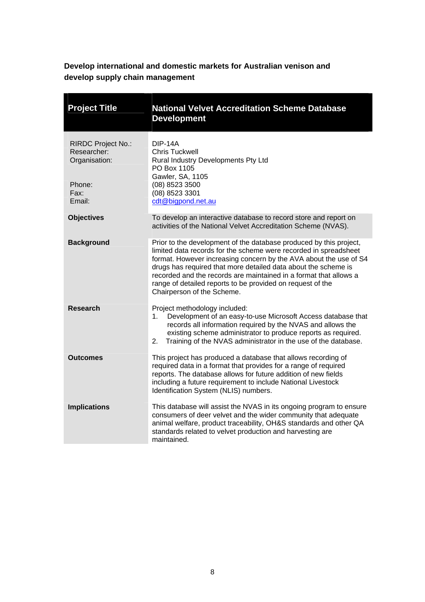**Develop international and domestic markets for Australian venison and develop supply chain management** 

<span id="page-11-0"></span>

| <b>Project Title</b>                               | <b>National Velvet Accreditation Scheme Database</b><br><b>Development</b>                                                                                                                                                                                                                                                                                                                                                                     |
|----------------------------------------------------|------------------------------------------------------------------------------------------------------------------------------------------------------------------------------------------------------------------------------------------------------------------------------------------------------------------------------------------------------------------------------------------------------------------------------------------------|
| RIRDC Project No.:<br>Researcher:<br>Organisation: | <b>DIP-14A</b><br><b>Chris Tuckwell</b><br>Rural Industry Developments Pty Ltd<br>PO Box 1105<br>Gawler, SA, 1105                                                                                                                                                                                                                                                                                                                              |
| Phone:<br>Fax:<br>Email:                           | (08) 8523 3500<br>(08) 8523 3301<br>cdt@bigpond.net.au                                                                                                                                                                                                                                                                                                                                                                                         |
| <b>Objectives</b>                                  | To develop an interactive database to record store and report on<br>activities of the National Velvet Accreditation Scheme (NVAS).                                                                                                                                                                                                                                                                                                             |
| <b>Background</b>                                  | Prior to the development of the database produced by this project,<br>limited data records for the scheme were recorded in spreadsheet<br>format. However increasing concern by the AVA about the use of S4<br>drugs has required that more detailed data about the scheme is<br>recorded and the records are maintained in a format that allows a<br>range of detailed reports to be provided on request of the<br>Chairperson of the Scheme. |
| <b>Research</b>                                    | Project methodology included:<br>Development of an easy-to-use Microsoft Access database that<br>1.<br>records all information required by the NVAS and allows the<br>existing scheme administrator to produce reports as required.<br>2.<br>Training of the NVAS administrator in the use of the database.                                                                                                                                    |
| <b>Outcomes</b>                                    | This project has produced a database that allows recording of<br>required data in a format that provides for a range of required<br>reports. The database allows for future addition of new fields<br>including a future requirement to include National Livestock<br>Identification System (NLIS) numbers.                                                                                                                                    |
| <b>Implications</b>                                | This database will assist the NVAS in its ongoing program to ensure<br>consumers of deer velvet and the wider community that adequate<br>animal welfare, product traceability, OH&S standards and other QA<br>standards related to velvet production and harvesting are<br>maintained.                                                                                                                                                         |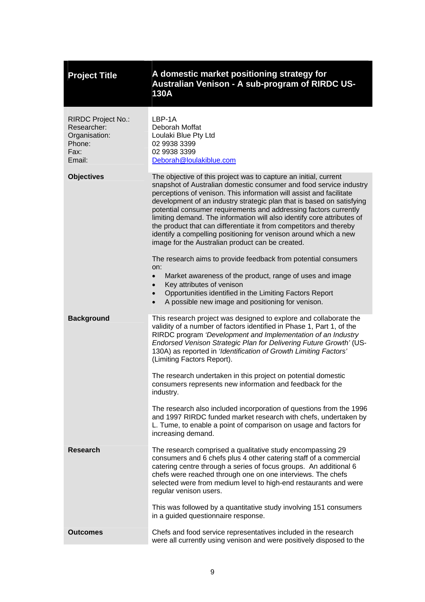<span id="page-12-0"></span>

| <b>Project Title</b>                                                                  | A domestic market positioning strategy for<br>Australian Venison - A sub-program of RIRDC US-<br><b>130A</b>                                                                                                                                                                                                                                                                                                                                                                                                                                                                                                                                                                                                                                                                                                                                                                                                                                                             |
|---------------------------------------------------------------------------------------|--------------------------------------------------------------------------------------------------------------------------------------------------------------------------------------------------------------------------------------------------------------------------------------------------------------------------------------------------------------------------------------------------------------------------------------------------------------------------------------------------------------------------------------------------------------------------------------------------------------------------------------------------------------------------------------------------------------------------------------------------------------------------------------------------------------------------------------------------------------------------------------------------------------------------------------------------------------------------|
| <b>RIRDC Project No.:</b><br>Researcher:<br>Organisation:<br>Phone:<br>Fax:<br>Email: | LBP-1A<br>Deborah Moffat<br>Loulaki Blue Pty Ltd<br>02 9938 3399<br>02 9938 3399<br>Deborah@loulakiblue.com                                                                                                                                                                                                                                                                                                                                                                                                                                                                                                                                                                                                                                                                                                                                                                                                                                                              |
| <b>Objectives</b>                                                                     | The objective of this project was to capture an initial, current<br>snapshot of Australian domestic consumer and food service industry<br>perceptions of venison. This information will assist and facilitate<br>development of an industry strategic plan that is based on satisfying<br>potential consumer requirements and addressing factors currently<br>limiting demand. The information will also identify core attributes of<br>the product that can differentiate it from competitors and thereby<br>identify a compelling positioning for venison around which a new<br>image for the Australian product can be created.<br>The research aims to provide feedback from potential consumers<br>on:<br>Market awareness of the product, range of uses and image<br>$\bullet$<br>Key attributes of venison<br>$\bullet$<br>Opportunities identified in the Limiting Factors Report<br>$\bullet$<br>A possible new image and positioning for venison.<br>$\bullet$ |
| <b>Background</b>                                                                     | This research project was designed to explore and collaborate the<br>validity of a number of factors identified in Phase 1, Part 1, of the<br>RIRDC program 'Development and Implementation of an Industry<br>Endorsed Venison Strategic Plan for Delivering Future Growth' (US-<br>130A) as reported in 'Identification of Growth Limiting Factors'<br>(Limiting Factors Report).<br>The research undertaken in this project on potential domestic<br>consumers represents new information and feedback for the<br>industry.<br>The research also included incorporation of questions from the 1996<br>and 1997 RIRDC funded market research with chefs, undertaken by<br>L. Tume, to enable a point of comparison on usage and factors for<br>increasing demand.                                                                                                                                                                                                       |
| <b>Research</b>                                                                       | The research comprised a qualitative study encompassing 29<br>consumers and 6 chefs plus 4 other catering staff of a commercial<br>catering centre through a series of focus groups. An additional 6<br>chefs were reached through one on one interviews. The chefs<br>selected were from medium level to high-end restaurants and were<br>regular venison users.<br>This was followed by a quantitative study involving 151 consumers<br>in a guided questionnaire response.                                                                                                                                                                                                                                                                                                                                                                                                                                                                                            |
| <b>Outcomes</b>                                                                       | Chefs and food service representatives included in the research<br>were all currently using venison and were positively disposed to the                                                                                                                                                                                                                                                                                                                                                                                                                                                                                                                                                                                                                                                                                                                                                                                                                                  |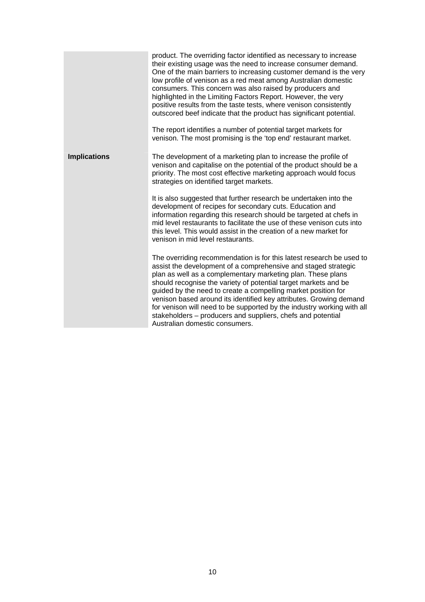|                     | product. The overriding factor identified as necessary to increase<br>their existing usage was the need to increase consumer demand.<br>One of the main barriers to increasing customer demand is the very<br>low profile of venison as a red meat among Australian domestic<br>consumers. This concern was also raised by producers and<br>highlighted in the Limiting Factors Report. However, the very<br>positive results from the taste tests, where venison consistently<br>outscored beef indicate that the product has significant potential.<br>The report identifies a number of potential target markets for<br>venison. The most promising is the 'top end' restaurant market. |
|---------------------|--------------------------------------------------------------------------------------------------------------------------------------------------------------------------------------------------------------------------------------------------------------------------------------------------------------------------------------------------------------------------------------------------------------------------------------------------------------------------------------------------------------------------------------------------------------------------------------------------------------------------------------------------------------------------------------------|
| <b>Implications</b> | The development of a marketing plan to increase the profile of                                                                                                                                                                                                                                                                                                                                                                                                                                                                                                                                                                                                                             |
|                     | venison and capitalise on the potential of the product should be a<br>priority. The most cost effective marketing approach would focus<br>strategies on identified target markets.                                                                                                                                                                                                                                                                                                                                                                                                                                                                                                         |
|                     | It is also suggested that further research be undertaken into the<br>development of recipes for secondary cuts. Education and<br>information regarding this research should be targeted at chefs in<br>mid level restaurants to facilitate the use of these venison cuts into<br>this level. This would assist in the creation of a new market for<br>venison in mid level restaurants.                                                                                                                                                                                                                                                                                                    |
|                     | The overriding recommendation is for this latest research be used to<br>assist the development of a comprehensive and staged strategic<br>plan as well as a complementary marketing plan. These plans<br>should recognise the variety of potential target markets and be<br>guided by the need to create a compelling market position for<br>venison based around its identified key attributes. Growing demand<br>for venison will need to be supported by the industry working with all<br>stakeholders – producers and suppliers, chefs and potential<br>Australian domestic consumers.                                                                                                 |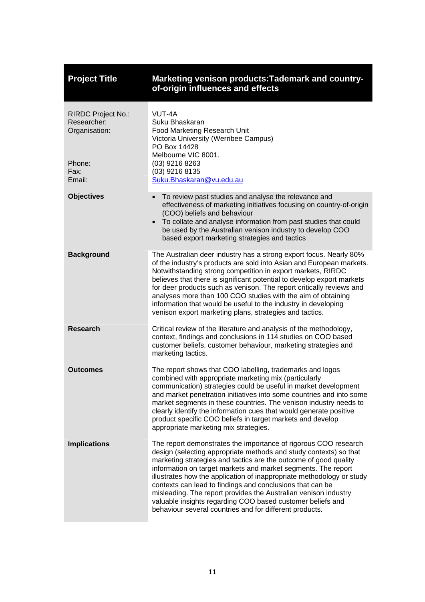<span id="page-14-0"></span>

| <b>Project Title</b>                                                 | Marketing venison products: Tademark and country-<br>of-origin influences and effects                                                                                                                                                                                                                                                                                                                                                                                                                                                                                                                       |
|----------------------------------------------------------------------|-------------------------------------------------------------------------------------------------------------------------------------------------------------------------------------------------------------------------------------------------------------------------------------------------------------------------------------------------------------------------------------------------------------------------------------------------------------------------------------------------------------------------------------------------------------------------------------------------------------|
| RIRDC Project No.:<br>Researcher:<br>Organisation:<br>Phone:<br>Fax: | VUT-4A<br>Suku Bhaskaran<br>Food Marketing Research Unit<br>Victoria University (Werribee Campus)<br>PO Box 14428<br>Melbourne VIC 8001.<br>(03) 9216 8263<br>(03) 9216 8135                                                                                                                                                                                                                                                                                                                                                                                                                                |
| Email:                                                               | Suku.Bhaskaran@vu.edu.au                                                                                                                                                                                                                                                                                                                                                                                                                                                                                                                                                                                    |
| <b>Objectives</b>                                                    | To review past studies and analyse the relevance and<br>$\bullet$<br>effectiveness of marketing initiatives focusing on country-of-origin<br>(COO) beliefs and behaviour<br>To collate and analyse information from past studies that could<br>$\bullet$<br>be used by the Australian venison industry to develop COO<br>based export marketing strategies and tactics                                                                                                                                                                                                                                      |
| <b>Background</b>                                                    | The Australian deer industry has a strong export focus. Nearly 80%<br>of the industry's products are sold into Asian and European markets.<br>Notwithstanding strong competition in export markets, RIRDC<br>believes that there is significant potential to develop export markets<br>for deer products such as venison. The report critically reviews and<br>analyses more than 100 COO studies with the aim of obtaining<br>information that would be useful to the industry in developing<br>venison export marketing plans, strategies and tactics.                                                    |
| <b>Research</b>                                                      | Critical review of the literature and analysis of the methodology,<br>context, findings and conclusions in 114 studies on COO based<br>customer beliefs, customer behaviour, marketing strategies and<br>marketing tactics.                                                                                                                                                                                                                                                                                                                                                                                 |
| Outcomes                                                             | The report shows that COO labelling, trademarks and logos<br>combined with appropriate marketing mix (particularly<br>communication) strategies could be useful in market development<br>and market penetration initiatives into some countries and into some<br>market segments in these countries. The venison industry needs to<br>clearly identify the information cues that would generate positive<br>product specific COO beliefs in target markets and develop<br>appropriate marketing mix strategies.                                                                                             |
| <b>Implications</b>                                                  | The report demonstrates the importance of rigorous COO research<br>design (selecting appropriate methods and study contexts) so that<br>marketing strategies and tactics are the outcome of good quality<br>information on target markets and market segments. The report<br>illustrates how the application of inappropriate methodology or study<br>contexts can lead to findings and conclusions that can be<br>misleading. The report provides the Australian venison industry<br>valuable insights regarding COO based customer beliefs and<br>behaviour several countries and for different products. |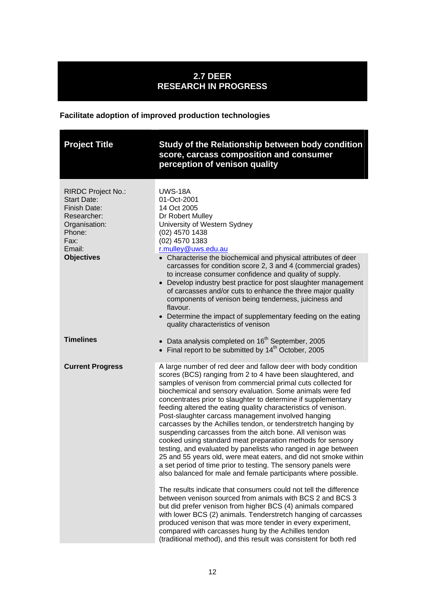### **2.7 DEER RESEARCH IN PROGRESS**

### **Facilitate adoption of improved production technologies**

<span id="page-15-0"></span>

| <b>Project Title</b>                                                                                                                      | Study of the Relationship between body condition<br>score, carcass composition and consumer<br>perception of venison quality                                                                                                                                                                                                                                                                                                                                                                                                                                                                                                                                                                                                                                                                                                                                                                                                                                                                                                                                                                                                                                                                                                                                                                                                                                                         |
|-------------------------------------------------------------------------------------------------------------------------------------------|--------------------------------------------------------------------------------------------------------------------------------------------------------------------------------------------------------------------------------------------------------------------------------------------------------------------------------------------------------------------------------------------------------------------------------------------------------------------------------------------------------------------------------------------------------------------------------------------------------------------------------------------------------------------------------------------------------------------------------------------------------------------------------------------------------------------------------------------------------------------------------------------------------------------------------------------------------------------------------------------------------------------------------------------------------------------------------------------------------------------------------------------------------------------------------------------------------------------------------------------------------------------------------------------------------------------------------------------------------------------------------------|
| RIRDC Project No.:<br><b>Start Date:</b><br>Finish Date:<br>Researcher:<br>Organisation:<br>Phone:<br>Fax:<br>Email:<br><b>Objectives</b> | <b>UWS-18A</b><br>01-Oct-2001<br>14 Oct 2005<br>Dr Robert Mulley<br>University of Western Sydney<br>(02) 4570 1438<br>(02) 4570 1383<br>r.mulley@uws.edu.au                                                                                                                                                                                                                                                                                                                                                                                                                                                                                                                                                                                                                                                                                                                                                                                                                                                                                                                                                                                                                                                                                                                                                                                                                          |
|                                                                                                                                           | • Characterise the biochemical and physical attributes of deer<br>carcasses for condition score 2, 3 and 4 (commercial grades)<br>to increase consumer confidence and quality of supply.<br>• Develop industry best practice for post slaughter management<br>of carcasses and/or cuts to enhance the three major quality<br>components of venison being tenderness, juiciness and<br>flavour.<br>• Determine the impact of supplementary feeding on the eating<br>quality characteristics of venison                                                                                                                                                                                                                                                                                                                                                                                                                                                                                                                                                                                                                                                                                                                                                                                                                                                                                |
| <b>Timelines</b>                                                                                                                          | • Data analysis completed on $16th$ September, 2005<br>• Final report to be submitted by $14th$ October, 2005                                                                                                                                                                                                                                                                                                                                                                                                                                                                                                                                                                                                                                                                                                                                                                                                                                                                                                                                                                                                                                                                                                                                                                                                                                                                        |
| <b>Current Progress</b>                                                                                                                   | A large number of red deer and fallow deer with body condition<br>scores (BCS) ranging from 2 to 4 have been slaughtered, and<br>samples of venison from commercial primal cuts collected for<br>biochemical and sensory evaluation. Some animals were fed<br>concentrates prior to slaughter to determine if supplementary<br>feeding altered the eating quality characteristics of venison.<br>Post-slaughter carcass management involved hanging<br>carcasses by the Achilles tendon, or tenderstretch hanging by<br>suspending carcasses from the aitch bone. All venison was<br>cooked using standard meat preparation methods for sensory<br>testing, and evaluated by panelists who ranged in age between<br>25 and 55 years old, were meat eaters, and did not smoke within<br>a set period of time prior to testing. The sensory panels were<br>also balanced for male and female participants where possible.<br>The results indicate that consumers could not tell the difference<br>between venison sourced from animals with BCS 2 and BCS 3<br>but did prefer venison from higher BCS (4) animals compared<br>with lower BCS (2) animals. Tenderstretch hanging of carcasses<br>produced venison that was more tender in every experiment,<br>compared with carcasses hung by the Achilles tendon<br>(traditional method), and this result was consistent for both red |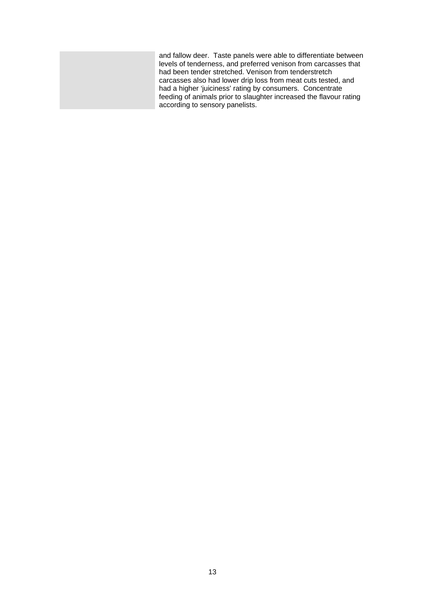and fallow deer. Taste panels were able to differentiate between levels of tenderness, and preferred venison from carcasses that had been tender stretched. Venison from tenderstretch carcasses also had lower drip loss from meat cuts tested, and had a higher 'juiciness' rating by consumers. Concentrate feeding of animals prior to slaughter increased the flavour rating according to sensory panelists.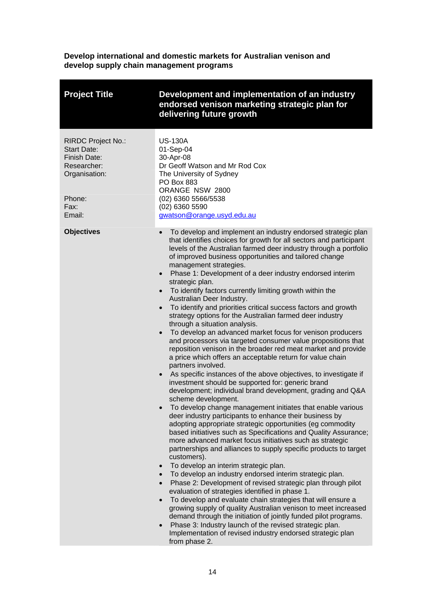**Develop international and domestic markets for Australian venison and develop supply chain management programs** 

<span id="page-17-0"></span>

| <b>Project Title</b>                                                                                                        | Development and implementation of an industry<br>endorsed venison marketing strategic plan for<br>delivering future growth                                                                                                                                                                                                                                                                                                                                                                                                                                                                                                                                                                                                                                                                                                                                                                                                                                                                                                                                                                                                                                                                                                                                                                                                                                                                                                                                                                                                                                                                                                                                                                                                                                                                                                                                                                                                                                                                                                                                                                                                                                                                                                                        |
|-----------------------------------------------------------------------------------------------------------------------------|---------------------------------------------------------------------------------------------------------------------------------------------------------------------------------------------------------------------------------------------------------------------------------------------------------------------------------------------------------------------------------------------------------------------------------------------------------------------------------------------------------------------------------------------------------------------------------------------------------------------------------------------------------------------------------------------------------------------------------------------------------------------------------------------------------------------------------------------------------------------------------------------------------------------------------------------------------------------------------------------------------------------------------------------------------------------------------------------------------------------------------------------------------------------------------------------------------------------------------------------------------------------------------------------------------------------------------------------------------------------------------------------------------------------------------------------------------------------------------------------------------------------------------------------------------------------------------------------------------------------------------------------------------------------------------------------------------------------------------------------------------------------------------------------------------------------------------------------------------------------------------------------------------------------------------------------------------------------------------------------------------------------------------------------------------------------------------------------------------------------------------------------------------------------------------------------------------------------------------------------------|
| <b>RIRDC Project No.:</b><br><b>Start Date:</b><br>Finish Date:<br>Researcher:<br>Organisation:<br>Phone:<br>Fax:<br>Email: | <b>US-130A</b><br>01-Sep-04<br>30-Apr-08<br>Dr Geoff Watson and Mr Rod Cox<br>The University of Sydney<br><b>PO Box 883</b><br>ORANGE NSW 2800<br>(02) 6360 5566/5538<br>$(02)$ 6360 5590<br>gwatson@orange.usyd.edu.au                                                                                                                                                                                                                                                                                                                                                                                                                                                                                                                                                                                                                                                                                                                                                                                                                                                                                                                                                                                                                                                                                                                                                                                                                                                                                                                                                                                                                                                                                                                                                                                                                                                                                                                                                                                                                                                                                                                                                                                                                           |
| <b>Objectives</b>                                                                                                           | To develop and implement an industry endorsed strategic plan<br>$\bullet$<br>that identifies choices for growth for all sectors and participant<br>levels of the Australian farmed deer industry through a portfolio<br>of improved business opportunities and tailored change<br>management strategies.<br>Phase 1: Development of a deer industry endorsed interim<br>$\bullet$<br>strategic plan.<br>To identify factors currently limiting growth within the<br>$\bullet$<br>Australian Deer Industry.<br>To identify and priorities critical success factors and growth<br>$\bullet$<br>strategy options for the Australian farmed deer industry<br>through a situation analysis.<br>To develop an advanced market focus for venison producers<br>$\bullet$<br>and processors via targeted consumer value propositions that<br>reposition venison in the broader red meat market and provide<br>a price which offers an acceptable return for value chain<br>partners involved.<br>As specific instances of the above objectives, to investigate if<br>investment should be supported for: generic brand<br>development; individual brand development, grading and Q&A<br>scheme development.<br>To develop change management initiates that enable various<br>deer industry participants to enhance their business by<br>adopting appropriate strategic opportunities (eg commodity<br>based initiatives such as Specifications and Quality Assurance;<br>more advanced market focus initiatives such as strategic<br>partnerships and alliances to supply specific products to target<br>customers).<br>To develop an interim strategic plan.<br>$\bullet$<br>To develop an industry endorsed interim strategic plan.<br>$\bullet$<br>Phase 2: Development of revised strategic plan through pilot<br>$\bullet$<br>evaluation of strategies identified in phase 1.<br>To develop and evaluate chain strategies that will ensure a<br>$\bullet$<br>growing supply of quality Australian venison to meet increased<br>demand through the initiation of jointly funded pilot programs.<br>Phase 3: Industry launch of the revised strategic plan.<br>$\bullet$<br>Implementation of revised industry endorsed strategic plan<br>from phase 2. |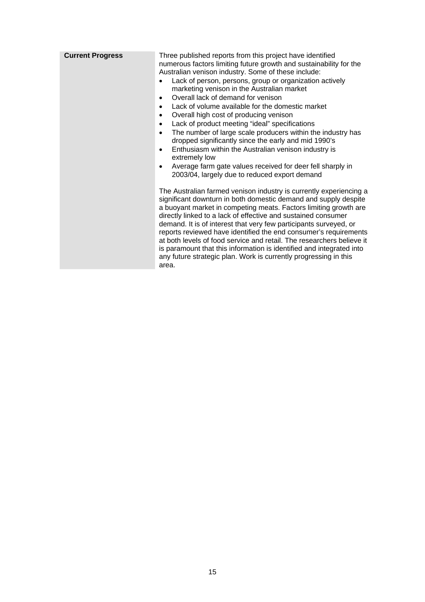| <b>Current Progress</b> | Three published reports from this project have identified<br>numerous factors limiting future growth and sustainability for the<br>Australian venison industry. Some of these include:<br>Lack of person, persons, group or organization actively<br>marketing venison in the Australian market<br>Overall lack of demand for venison<br>٠<br>Lack of volume available for the domestic market<br>$\bullet$<br>Overall high cost of producing venison<br>$\bullet$<br>Lack of product meeting "ideal" specifications<br>$\bullet$<br>The number of large scale producers within the industry has<br>$\bullet$<br>dropped significantly since the early and mid 1990's<br>Enthusiasm within the Australian venison industry is<br>$\bullet$<br>extremely low<br>Average farm gate values received for deer fell sharply in<br>٠<br>2003/04, largely due to reduced export demand |
|-------------------------|---------------------------------------------------------------------------------------------------------------------------------------------------------------------------------------------------------------------------------------------------------------------------------------------------------------------------------------------------------------------------------------------------------------------------------------------------------------------------------------------------------------------------------------------------------------------------------------------------------------------------------------------------------------------------------------------------------------------------------------------------------------------------------------------------------------------------------------------------------------------------------|
|                         | The Australian farmed venison industry is currently experiencing a<br>significant downturn in both domestic demand and supply despite<br>a buoyant market in competing meats. Factors limiting growth are<br>directly linked to a lack of effective and sustained consumer<br>demand. It is of interest that very few participants surveyed, or<br>reports reviewed have identified the end consumer's requirements<br>at both levels of food service and retail. The researchers believe it<br>is paramount that this information is identified and integrated into<br>any future strategic plan. Work is currently progressing in this<br>area.                                                                                                                                                                                                                               |